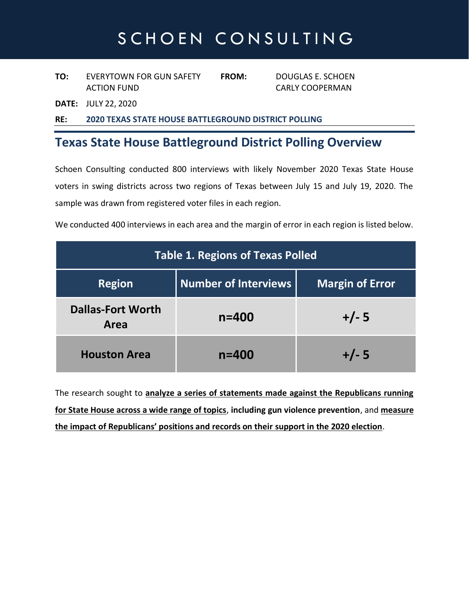# SCHOEN CONSULTING

**TO:** EVERYTOWN FOR GUN SAFETY **FROM:** DOUGLAS E. SCHOEN ACTION FUND CARLY COOPERMAN

**DATE:** JULY 22, 2020

**RE: 2020 TEXAS STATE HOUSE BATTLEGROUND DISTRICT POLLING**

#### **Texas State House Battleground District Polling Overview**

Schoen Consulting conducted 800 interviews with likely November 2020 Texas State House voters in swing districts across two regions of Texas between July 15 and July 19, 2020. The sample was drawn from registered voter files in each region.

We conducted 400 interviews in each area and the margin of error in each region is listed below.

| <b>Table 1. Regions of Texas Polled</b> |                             |                        |
|-----------------------------------------|-----------------------------|------------------------|
| <b>Region</b>                           | <b>Number of Interviews</b> | <b>Margin of Error</b> |
| <b>Dallas-Fort Worth</b><br>Area        | $n = 400$                   | $+/- 5$                |
| <b>Houston Area</b>                     | $n = 400$                   | $+/- 5$                |

The research sought to **analyze a series of statements made against the Republicans running for State House across a wide range of topics**, **including gun violence prevention**, and **measure the impact of Republicans' positions and records on their support in the 2020 election**.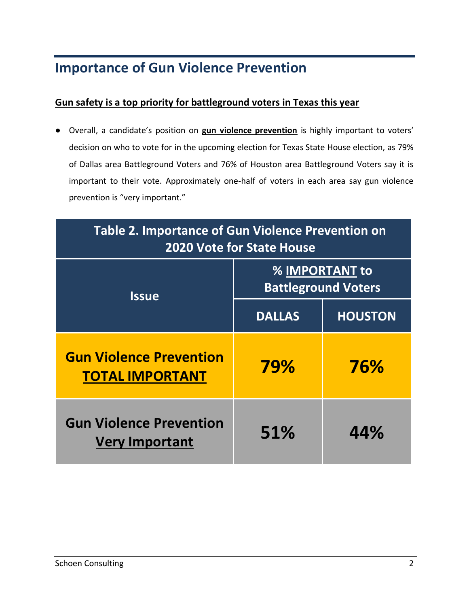#### **Importance of Gun Violence Prevention**

#### **Gun safety is a top priority for battleground voters in Texas this year**

● Overall, a candidate's position on **gun violence prevention** is highly important to voters' decision on who to vote for in the upcoming election for Texas State House election, as 79% of Dallas area Battleground Voters and 76% of Houston area Battleground Voters say it is important to their vote. Approximately one-half of voters in each area say gun violence prevention is "very important."

| Table 2. Importance of Gun Violence Prevention on<br><b>2020 Vote for State House</b> |                                                     |                |
|---------------------------------------------------------------------------------------|-----------------------------------------------------|----------------|
| <b>Issue</b>                                                                          | <b>% IMPORTANT to</b><br><b>Battleground Voters</b> |                |
|                                                                                       | <b>DALLAS</b>                                       | <b>HOUSTON</b> |
| <b>Gun Violence Prevention</b><br><b>TOTAL IMPORTANT</b>                              | 79%                                                 | 76%            |
| <b>Gun Violence Prevention</b><br><b>Very Important</b>                               | 51%                                                 | 44%            |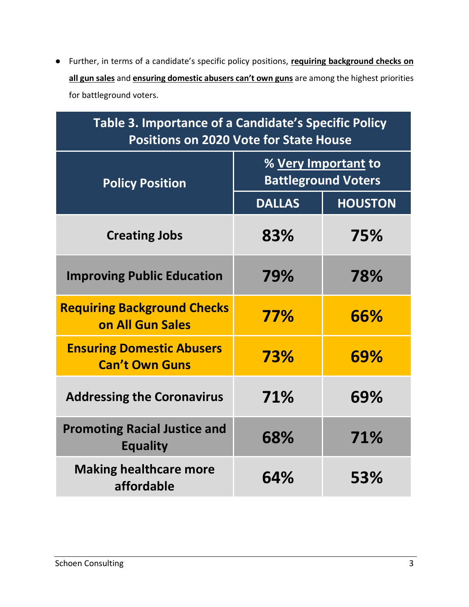● Further, in terms of a candidate's specific policy positions, **requiring background checks on all gun sales** and **ensuring domestic abusers can't own guns** are among the highest priorities for battleground voters.

| Table 3. Importance of a Candidate's Specific Policy<br><b>Positions on 2020 Vote for State House</b> |                                                          |                |
|-------------------------------------------------------------------------------------------------------|----------------------------------------------------------|----------------|
| <b>Policy Position</b>                                                                                | % <u>Very Important</u> to<br><b>Battleground Voters</b> |                |
|                                                                                                       | <b>DALLAS</b>                                            | <b>HOUSTON</b> |
| <b>Creating Jobs</b>                                                                                  | 83%                                                      | 75%            |
| <b>Improving Public Education</b>                                                                     | 79%                                                      | 78%            |
| <b>Requiring Background Checks</b><br>on All Gun Sales                                                | 77%                                                      | 66%            |
| <b>Ensuring Domestic Abusers</b><br><b>Can't Own Guns</b>                                             | 73%                                                      | 69%            |
| <b>Addressing the Coronavirus</b>                                                                     | 71%                                                      | 69%            |
| <b>Promoting Racial Justice and</b><br><b>Equality</b>                                                | 68%                                                      | 71%            |
| <b>Making healthcare more</b><br>affordable                                                           | 64%                                                      | 53%            |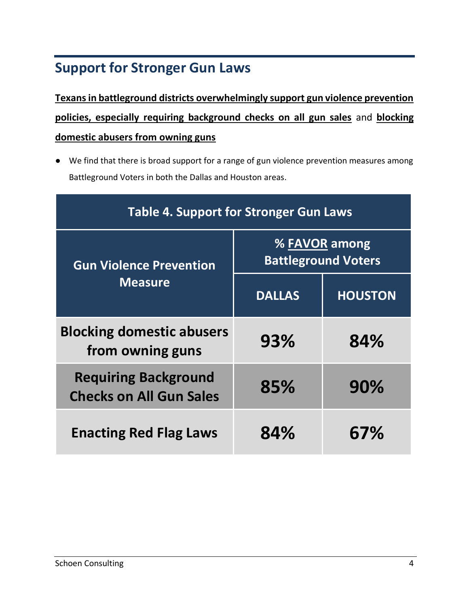## **Support for Stronger Gun Laws**

**Texans in battleground districts overwhelmingly support gun violence prevention policies, especially requiring background checks on all gun sales** and **blocking domestic abusers from owning guns**

● We find that there is broad support for a range of gun violence prevention measures among Battleground Voters in both the Dallas and Houston areas.

| <b>Table 4. Support for Stronger Gun Laws</b>                 |                                             |                |
|---------------------------------------------------------------|---------------------------------------------|----------------|
| <b>Gun Violence Prevention</b><br><b>Measure</b>              | % FAVOR among<br><b>Battleground Voters</b> |                |
|                                                               | <b>DALLAS</b>                               | <b>HOUSTON</b> |
| <b>Blocking domestic abusers</b><br>from owning guns          | 93%                                         | 84%            |
| <b>Requiring Background</b><br><b>Checks on All Gun Sales</b> | 85%                                         | 90%            |
| <b>Enacting Red Flag Laws</b>                                 | 84%                                         | 67%            |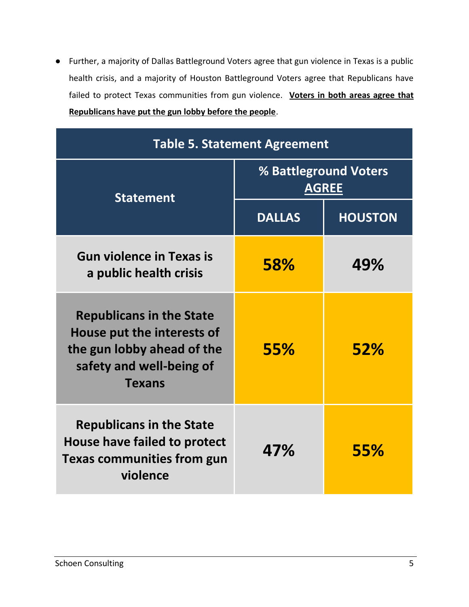● Further, a majority of Dallas Battleground Voters agree that gun violence in Texas is a public health crisis, and a majority of Houston Battleground Voters agree that Republicans have failed to protect Texas communities from gun violence. **Voters in both areas agree that Republicans have put the gun lobby before the people**.

| <b>Table 5. Statement Agreement</b>                                                                                                      |                                       |                |
|------------------------------------------------------------------------------------------------------------------------------------------|---------------------------------------|----------------|
| <b>Statement</b>                                                                                                                         | % Battleground Voters<br><b>AGREE</b> |                |
|                                                                                                                                          | <b>DALLAS</b>                         | <b>HOUSTON</b> |
| <b>Gun violence in Texas is</b><br>a public health crisis                                                                                | <b>58%</b>                            | 49%            |
| <b>Republicans in the State</b><br>House put the interests of<br>the gun lobby ahead of the<br>safety and well-being of<br><b>Texans</b> | <b>55%</b>                            | 52%            |
| <b>Republicans in the State</b><br>House have failed to protect<br><b>Texas communities from gun</b><br>violence                         | 47%                                   | <b>55%</b>     |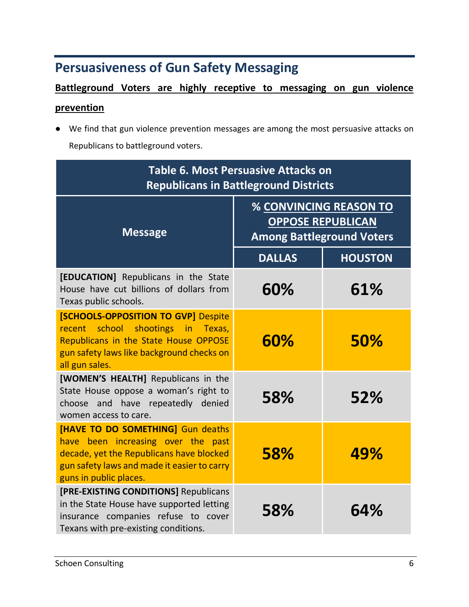### **Persuasiveness of Gun Safety Messaging**

### **Battleground Voters are highly receptive to messaging on gun violence**

#### **prevention**

● We find that gun violence prevention messages are among the most persuasive attacks on Republicans to battleground voters.

| <b>Table 6. Most Persuasive Attacks on</b><br><b>Republicans in Battleground Districts</b>                                                                                                    |                                                                                        |                |
|-----------------------------------------------------------------------------------------------------------------------------------------------------------------------------------------------|----------------------------------------------------------------------------------------|----------------|
| <b>Message</b>                                                                                                                                                                                | % CONVINCING REASON TO<br><b>OPPOSE REPUBLICAN</b><br><b>Among Battleground Voters</b> |                |
|                                                                                                                                                                                               | <b>DALLAS</b>                                                                          | <b>HOUSTON</b> |
| [EDUCATION] Republicans in the State<br>House have cut billions of dollars from<br>Texas public schools.                                                                                      | 60%                                                                                    | 61%            |
| <b>[SCHOOLS-OPPOSITION TO GVP] Despite</b><br>school<br>shootings in Texas,<br>recent<br>Republicans in the State House OPPOSE<br>gun safety laws like background checks on<br>all gun sales. | 60%                                                                                    | 50%            |
| [WOMEN'S HEALTH] Republicans in the<br>State House oppose a woman's right to<br>choose and have repeatedly denied<br>women access to care.                                                    | 58%                                                                                    | 52%            |
| [HAVE TO DO SOMETHING] Gun deaths<br>have been increasing over the past<br>decade, yet the Republicans have blocked<br>gun safety laws and made it easier to carry<br>guns in public places.  | <b>58%</b>                                                                             | 49%            |
| [PRE-EXISTING CONDITIONS] Republicans<br>in the State House have supported letting<br>insurance companies refuse to cover<br>Texans with pre-existing conditions.                             | 58%                                                                                    | 64%            |